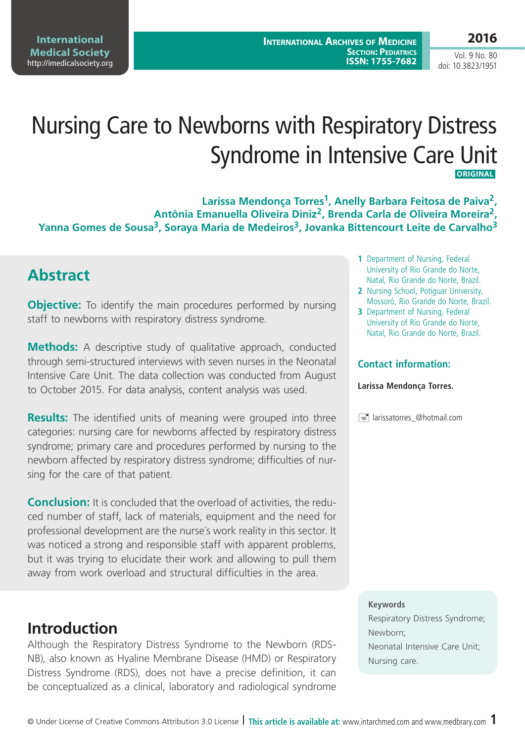**International Medical Society**  <http://imedicalsociety.org>

### **2016**

Vol. 9 No. 80 doi: 10.3823/1951

# Nursing Care to Newborns with Respiratory Distress Syndrome in Intensive Care Unit **Original**

**Larissa Mendonça Torres1, Anelly Barbara Feitosa de Paiva2, Antônia Emanuella Oliveira Diniz2, Brenda Carla de Oliveira Moreira2,**  Yanna Gomes de Sousa<sup>3</sup>, Soraya Maria de Medeiros<sup>3</sup>, Jovanka Bittencourt Leite de Carvalho<sup>3</sup>

# **Abstract**

**Objective:** To identify the main procedures performed by nursing staff to newborns with respiratory distress syndrome.

**Methods:** A descriptive study of qualitative approach, conducted through semi-structured interviews with seven nurses in the Neonatal Intensive Care Unit. The data collection was conducted from August to October 2015. For data analysis, content analysis was used.

**Results:** The identified units of meaning were grouped into three categories: nursing care for newborns affected by respiratory distress syndrome; primary care and procedures performed by nursing to the newborn affected by respiratory distress syndrome; difficulties of nursing for the care of that patient.

**Conclusion:** It is concluded that the overload of activities, the reduced number of staff, lack of materials, equipment and the need for professional development are the nurse´s work reality in this sector. It was noticed a strong and responsible staff with apparent problems, but it was trying to elucidate their work and allowing to pull them away from work overload and structural difficulties in the area.

# **Introduction**

Although the Respiratory Distress Syndrome to the Newborn (RDS-NB), also known as Hyaline Membrane Disease (HMD) or Respiratory Distress Syndrome (RDS), does not have a precise definition, it can be conceptualized as a clinical, laboratory and radiological syndrome

- **1** Department of Nursing, Federal University of Rio Grande do Norte, Natal, Rio Grande do Norte, Brazil.
- **2** Nursing School, Potiguar University, Mossoró, Rio Grande do Norte, Brazil.
- **3** Department of Nursing, Federal University of Rio Grande do Norte, Natal, Rio Grande do Norte, Brazil.

#### **Contact information:**

#### **Larissa Mendonça Torres.**

 $\equiv$  larissatorres\_@hotmail.com

#### **Keywords**

Respiratory Distress Syndrome; Newborn; Neonatal Intensive Care Unit; Nursing care.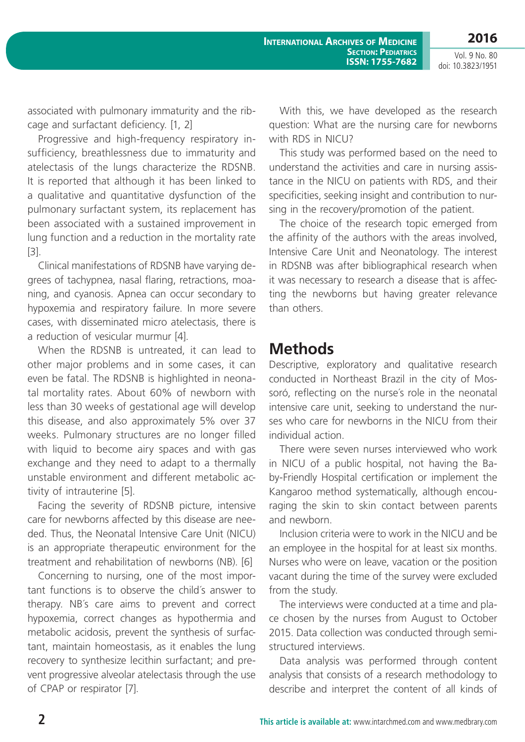associated with pulmonary immaturity and the ribcage and surfactant deficiency. [1, 2]

Progressive and high-frequency respiratory insufficiency, breathlessness due to immaturity and atelectasis of the lungs characterize the RDSNB. It is reported that although it has been linked to a qualitative and quantitative dysfunction of the pulmonary surfactant system, its replacement has been associated with a sustained improvement in lung function and a reduction in the mortality rate [3].

Clinical manifestations of RDSNB have varying degrees of tachypnea, nasal flaring, retractions, moaning, and cyanosis. Apnea can occur secondary to hypoxemia and respiratory failure. In more severe cases, with disseminated micro atelectasis, there is a reduction of vesicular murmur [4].

When the RDSNB is untreated, it can lead to other major problems and in some cases, it can even be fatal. The RDSNB is highlighted in neonatal mortality rates. About 60% of newborn with less than 30 weeks of gestational age will develop this disease, and also approximately 5% over 37 weeks. Pulmonary structures are no longer filled with liquid to become airy spaces and with gas exchange and they need to adapt to a thermally unstable environment and different metabolic activity of intrauterine [5].

Facing the severity of RDSNB picture, intensive care for newborns affected by this disease are needed. Thus, the Neonatal Intensive Care Unit (NICU) is an appropriate therapeutic environment for the treatment and rehabilitation of newborns (NB). [6]

Concerning to nursing, one of the most important functions is to observe the child´s answer to therapy. NB´s care aims to prevent and correct hypoxemia, correct changes as hypothermia and metabolic acidosis, prevent the synthesis of surfactant, maintain homeostasis, as it enables the lung recovery to synthesize lecithin surfactant; and prevent progressive alveolar atelectasis through the use of CPAP or respirator [7].

With this, we have developed as the research question: What are the nursing care for newborns with RDS in NICU?

This study was performed based on the need to understand the activities and care in nursing assistance in the NICU on patients with RDS, and their specificities, seeking insight and contribution to nursing in the recovery/promotion of the patient.

The choice of the research topic emerged from the affinity of the authors with the areas involved, Intensive Care Unit and Neonatology. The interest in RDSNB was after bibliographical research when it was necessary to research a disease that is affecting the newborns but having greater relevance than others.

### **Methods**

Descriptive, exploratory and qualitative research conducted in Northeast Brazil in the city of Mossoró, reflecting on the nurse´s role in the neonatal intensive care unit, seeking to understand the nurses who care for newborns in the NICU from their individual action.

There were seven nurses interviewed who work in NICU of a public hospital, not having the Baby-Friendly Hospital certification or implement the Kangaroo method systematically, although encouraging the skin to skin contact between parents and newborn.

Inclusion criteria were to work in the NICU and be an employee in the hospital for at least six months. Nurses who were on leave, vacation or the position vacant during the time of the survey were excluded from the study.

The interviews were conducted at a time and place chosen by the nurses from August to October 2015. Data collection was conducted through semistructured interviews.

Data analysis was performed through content analysis that consists of a research methodology to describe and interpret the content of all kinds of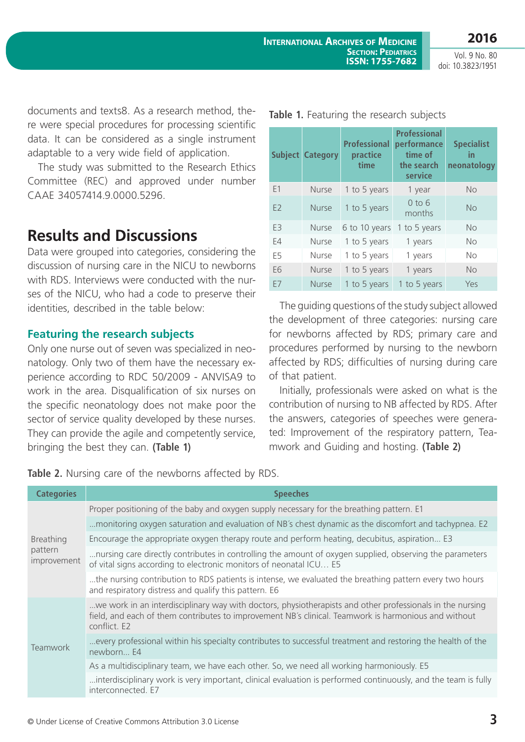documents and texts8. As a research method, there were special procedures for processing scientific data. It can be considered as a single instrument adaptable to a very wide field of application.

The study was submitted to the Research Ethics Committee (REC) and approved under number CAAE 34057414.9.0000.5296.

# **Results and Discussions**

Data were grouped into categories, considering the discussion of nursing care in the NICU to newborns with RDS. Interviews were conducted with the nurses of the NICU, who had a code to preserve their identities, described in the table below:

#### **Featuring the research subjects**

Only one nurse out of seven was specialized in neonatology. Only two of them have the necessary experience according to RDC 50/2009 - ANVISA9 to work in the area. Disqualification of six nurses on the specific neonatology does not make poor the sector of service quality developed by these nurses. They can provide the agile and competently service, bringing the best they can. **(Table 1)**

**Table 2.** Nursing care of the newborns affected by RDS.

| <b>Categories</b>                          | <b>Speeches</b>                                                                                                                                                                                                                   |
|--------------------------------------------|-----------------------------------------------------------------------------------------------------------------------------------------------------------------------------------------------------------------------------------|
| <b>Breathing</b><br>pattern<br>improvement | Proper positioning of the baby and oxygen supply necessary for the breathing pattern. E1                                                                                                                                          |
|                                            | monitoring oxygen saturation and evaluation of NB's chest dynamic as the discomfort and tachypnea. E2                                                                                                                             |
|                                            | Encourage the appropriate oxygen therapy route and perform heating, decubitus, aspiration E3                                                                                                                                      |
|                                            | nursing care directly contributes in controlling the amount of oxygen supplied, observing the parameters<br>of vital signs according to electronic monitors of neonatal ICU E5                                                    |
|                                            | the nursing contribution to RDS patients is intense, we evaluated the breathing pattern every two hours<br>and respiratory distress and qualify this pattern. E6                                                                  |
| <b>Teamwork</b>                            | we work in an interdisciplinary way with doctors, physiotherapists and other professionals in the nursing<br>field, and each of them contributes to improvement NB's clinical. Teamwork is harmonious and without<br>conflict. E2 |
|                                            | every professional within his specialty contributes to successful treatment and restoring the health of the<br>newborn E4                                                                                                         |
|                                            | As a multidisciplinary team, we have each other. So, we need all working harmoniously. E5                                                                                                                                         |
|                                            | interdisciplinary work is very important, clinical evaluation is performed continuously, and the team is fully<br>interconnected. E7                                                                                              |

of that patient.

|    | <b>Subject Category</b> | <b>Professional</b><br>practice<br>time | <b>Professional</b><br>performance<br>time of<br>the search<br>service | <b>Specialist</b><br>in<br>neonatology |
|----|-------------------------|-----------------------------------------|------------------------------------------------------------------------|----------------------------------------|
| F1 | Nurse                   | 1 to 5 years                            | 1 year                                                                 | <b>No</b>                              |
| E2 | <b>Nurse</b>            | 1 to 5 years                            | $0$ to $6$<br>months                                                   | <b>No</b>                              |
| E3 | <b>Nurse</b>            | 6 to 10 years 1 to 5 years              |                                                                        | <b>No</b>                              |
| E4 | <b>Nurse</b>            | 1 to 5 years                            | 1 years                                                                | <b>No</b>                              |

E5 Nurse 1 to 5 years 1 years No E6 Nurse 1 to 5 years 1 years No E7 Nurse 1 to 5 years 1 to 5 years Yes

The guiding questions of the study subject allowed the development of three categories: nursing care for newborns affected by RDS; primary care and procedures performed by nursing to the newborn affected by RDS; difficulties of nursing during care

Initially, professionals were asked on what is the contribution of nursing to NB affected by RDS. After the answers, categories of speeches were generated: Improvement of the respiratory pattern, Tea-

mwork and Guiding and hosting. **(Table 2)**

|  |  | Table 1. Featuring the research subjects |  |  |  |  |
|--|--|------------------------------------------|--|--|--|--|
|--|--|------------------------------------------|--|--|--|--|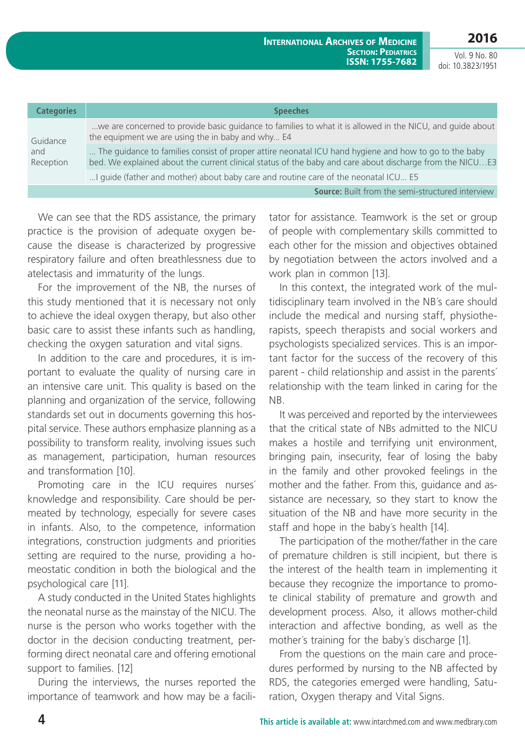**2016** Vol. 9 No. 80

doi: 10.3823/1951

| <b>Categories</b>            | <b>Speeches</b>                                                                                                                                                                                                   |
|------------------------------|-------------------------------------------------------------------------------------------------------------------------------------------------------------------------------------------------------------------|
| Guidance<br>and<br>Reception | we are concerned to provide basic guidance to families to what it is allowed in the NICU, and guide about<br>the equipment we are using the in baby and why E4                                                    |
|                              | The guidance to families consist of proper attire neonatal ICU hand hygiene and how to go to the baby<br>bed. We explained about the current clinical status of the baby and care about discharge from the NICUE3 |
|                              | I guide (father and mother) about baby care and routine care of the neonatal ICU E5                                                                                                                               |
|                              | <b>Source:</b> Built from the semi-structured interview                                                                                                                                                           |

We can see that the RDS assistance, the primary practice is the provision of adequate oxygen because the disease is characterized by progressive respiratory failure and often breathlessness due to atelectasis and immaturity of the lungs.

For the improvement of the NB, the nurses of this study mentioned that it is necessary not only to achieve the ideal oxygen therapy, but also other basic care to assist these infants such as handling, checking the oxygen saturation and vital signs.

In addition to the care and procedures, it is important to evaluate the quality of nursing care in an intensive care unit. This quality is based on the planning and organization of the service, following standards set out in documents governing this hospital service. These authors emphasize planning as a possibility to transform reality, involving issues such as management, participation, human resources and transformation [10].

Promoting care in the ICU requires nurses´ knowledge and responsibility. Care should be permeated by technology, especially for severe cases in infants. Also, to the competence, information integrations, construction judgments and priorities setting are required to the nurse, providing a homeostatic condition in both the biological and the psychological care [11].

A study conducted in the United States highlights the neonatal nurse as the mainstay of the NICU. The nurse is the person who works together with the doctor in the decision conducting treatment, performing direct neonatal care and offering emotional support to families. [12]

During the interviews, the nurses reported the importance of teamwork and how may be a facilitator for assistance. Teamwork is the set or group of people with complementary skills committed to each other for the mission and objectives obtained by negotiation between the actors involved and a work plan in common [13].

In this context, the integrated work of the multidisciplinary team involved in the NB´s care should include the medical and nursing staff, physiotherapists, speech therapists and social workers and psychologists specialized services. This is an important factor for the success of the recovery of this parent - child relationship and assist in the parents´ relationship with the team linked in caring for the NB.

It was perceived and reported by the interviewees that the critical state of NBs admitted to the NICU makes a hostile and terrifying unit environment, bringing pain, insecurity, fear of losing the baby in the family and other provoked feelings in the mother and the father. From this, guidance and assistance are necessary, so they start to know the situation of the NB and have more security in the staff and hope in the baby´s health [14].

The participation of the mother/father in the care of premature children is still incipient, but there is the interest of the health team in implementing it because they recognize the importance to promote clinical stability of premature and growth and development process. Also, it allows mother-child interaction and affective bonding, as well as the mother´s training for the baby´s discharge [1].

From the questions on the main care and procedures performed by nursing to the NB affected by RDS, the categories emerged were handling, Saturation, Oxygen therapy and Vital Signs.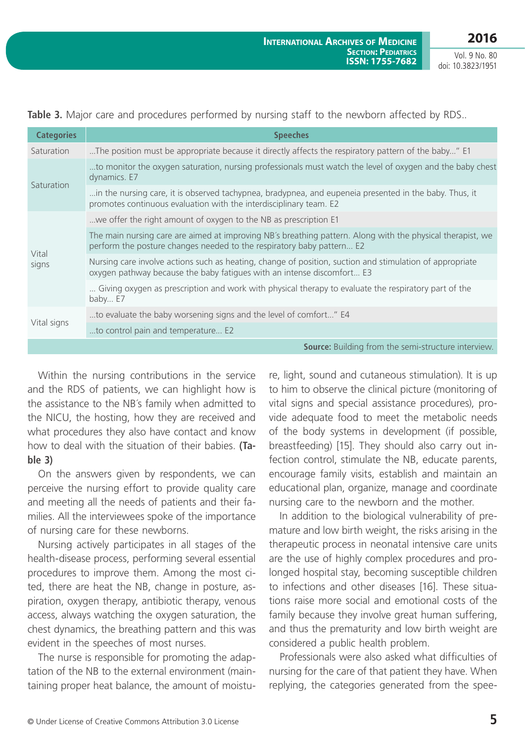| <b>Categories</b> | <b>Speeches</b>                                                                                                                                                                     |
|-------------------|-------------------------------------------------------------------------------------------------------------------------------------------------------------------------------------|
| Saturation        | The position must be appropriate because it directly affects the respiratory pattern of the baby" E1                                                                                |
| Saturation        | to monitor the oxygen saturation, nursing professionals must watch the level of oxygen and the baby chest<br>dynamics. E7                                                           |
|                   | in the nursing care, it is observed tachypnea, bradypnea, and eupeneia presented in the baby. Thus, it<br>promotes continuous evaluation with the interdisciplinary team. E2        |
| Vital<br>signs    | we offer the right amount of oxygen to the NB as prescription E1                                                                                                                    |
|                   | The main nursing care are aimed at improving NB's breathing pattern. Along with the physical therapist, we<br>perform the posture changes needed to the respiratory baby pattern E2 |
|                   | Nursing care involve actions such as heating, change of position, suction and stimulation of appropriate<br>oxygen pathway because the baby fatigues with an intense discomfort E3  |
|                   | Giving oxygen as prescription and work with physical therapy to evaluate the respiratory part of the<br>baby E7                                                                     |
| Vital signs       | to evaluate the baby worsening signs and the level of comfort" E4                                                                                                                   |
|                   | to control pain and temperature E2                                                                                                                                                  |
|                   | <b>Source:</b> Building from the semi-structure interview.                                                                                                                          |

Table 3. Major care and procedures performed by nursing staff to the newborn affected by RDS..

Within the nursing contributions in the service and the RDS of patients, we can highlight how is the assistance to the NB´s family when admitted to the NICU, the hosting, how they are received and what procedures they also have contact and know how to deal with the situation of their babies. **(Table 3)**

On the answers given by respondents, we can perceive the nursing effort to provide quality care and meeting all the needs of patients and their families. All the interviewees spoke of the importance of nursing care for these newborns.

Nursing actively participates in all stages of the health-disease process, performing several essential procedures to improve them. Among the most cited, there are heat the NB, change in posture, aspiration, oxygen therapy, antibiotic therapy, venous access, always watching the oxygen saturation, the chest dynamics, the breathing pattern and this was evident in the speeches of most nurses.

The nurse is responsible for promoting the adaptation of the NB to the external environment (maintaining proper heat balance, the amount of moisture, light, sound and cutaneous stimulation). It is up to him to observe the clinical picture (monitoring of vital signs and special assistance procedures), provide adequate food to meet the metabolic needs of the body systems in development (if possible, breastfeeding) [15]. They should also carry out infection control, stimulate the NB, educate parents, encourage family visits, establish and maintain an educational plan, organize, manage and coordinate nursing care to the newborn and the mother.

In addition to the biological vulnerability of premature and low birth weight, the risks arising in the therapeutic process in neonatal intensive care units are the use of highly complex procedures and prolonged hospital stay, becoming susceptible children to infections and other diseases [16]. These situations raise more social and emotional costs of the family because they involve great human suffering, and thus the prematurity and low birth weight are considered a public health problem.

Professionals were also asked what difficulties of nursing for the care of that patient they have. When replying, the categories generated from the spee-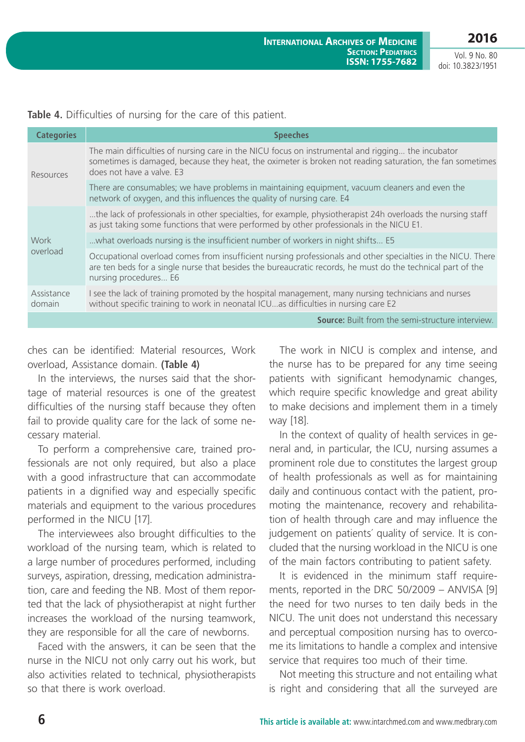**2016**

Vol. 9 No. 80 doi: 10.3823/1951

| <b>Categories</b>    | <b>Speeches</b>                                                                                                                                                                                                                                      |
|----------------------|------------------------------------------------------------------------------------------------------------------------------------------------------------------------------------------------------------------------------------------------------|
| Resources            | The main difficulties of nursing care in the NICU focus on instrumental and rigging the incubator<br>sometimes is damaged, because they heat, the oximeter is broken not reading saturation, the fan sometimes<br>does not have a valve. E3          |
|                      | There are consumables; we have problems in maintaining equipment, vacuum cleaners and even the<br>network of oxygen, and this influences the quality of nursing care. E4                                                                             |
| Work<br>overload     | the lack of professionals in other specialties, for example, physiotherapist 24h overloads the nursing staff<br>as just taking some functions that were performed by other professionals in the NICU E1.                                             |
|                      | what overloads nursing is the insufficient number of workers in night shifts E5                                                                                                                                                                      |
|                      | Occupational overload comes from insufficient nursing professionals and other specialties in the NICU. There<br>are ten beds for a single nurse that besides the bureaucratic records, he must do the technical part of the<br>nursing procedures E6 |
| Assistance<br>domain | I see the lack of training promoted by the hospital management, many nursing technicians and nurses<br>without specific training to work in neonatal ICUas difficulties in nursing care E2                                                           |
|                      | <b>Source:</b> Built from the semi-structure interview.                                                                                                                                                                                              |

**Table 4.** Difficulties of nursing for the care of this patient.

ches can be identified: Material resources, Work overload, Assistance domain. **(Table 4)**

In the interviews, the nurses said that the shortage of material resources is one of the greatest difficulties of the nursing staff because they often fail to provide quality care for the lack of some necessary material.

To perform a comprehensive care, trained professionals are not only required, but also a place with a good infrastructure that can accommodate patients in a dignified way and especially specific materials and equipment to the various procedures performed in the NICU [17].

The interviewees also brought difficulties to the workload of the nursing team, which is related to a large number of procedures performed, including surveys, aspiration, dressing, medication administration, care and feeding the NB. Most of them reported that the lack of physiotherapist at night further increases the workload of the nursing teamwork, they are responsible for all the care of newborns.

Faced with the answers, it can be seen that the nurse in the NICU not only carry out his work, but also activities related to technical, physiotherapists so that there is work overload.

The work in NICU is complex and intense, and the nurse has to be prepared for any time seeing patients with significant hemodynamic changes, which require specific knowledge and great ability to make decisions and implement them in a timely way [18].

In the context of quality of health services in general and, in particular, the ICU, nursing assumes a prominent role due to constitutes the largest group of health professionals as well as for maintaining daily and continuous contact with the patient, promoting the maintenance, recovery and rehabilitation of health through care and may influence the judgement on patients' quality of service. It is concluded that the nursing workload in the NICU is one of the main factors contributing to patient safety.

It is evidenced in the minimum staff requirements, reported in the DRC 50/2009 – ANVISA [9] the need for two nurses to ten daily beds in the NICU. The unit does not understand this necessary and perceptual composition nursing has to overcome its limitations to handle a complex and intensive service that requires too much of their time.

Not meeting this structure and not entailing what is right and considering that all the surveyed are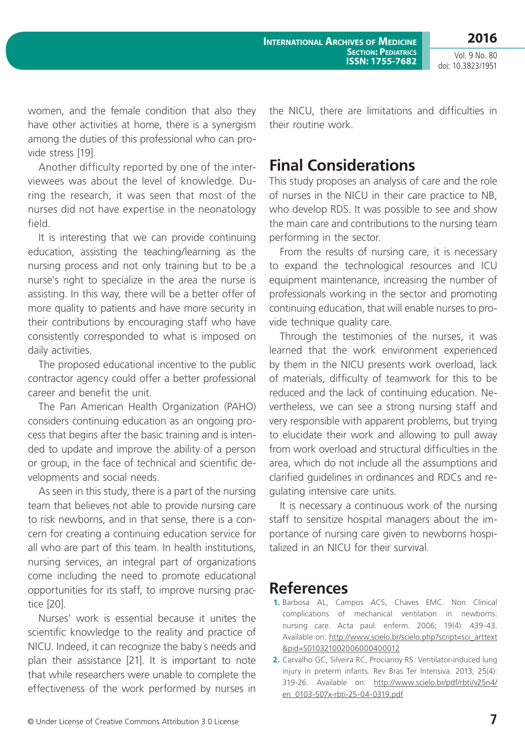**International Archives of Medicine SECTION: PEDIATRICS ISSN: 1755-7682** **2016**

Vol. 9 No. 80 doi: 10.3823/1951

women, and the female condition that also they have other activities at home, there is a synergism among the duties of this professional who can provide stress [19].

Another difficulty reported by one of the interviewees was about the level of knowledge. During the research, it was seen that most of the nurses did not have expertise in the neonatology field.

It is interesting that we can provide continuing education, assisting the teaching/learning as the nursing process and not only training but to be a nurse's right to specialize in the area the nurse is assisting. In this way, there will be a better offer of more quality to patients and have more security in their contributions by encouraging staff who have consistently corresponded to what is imposed on daily activities.

The proposed educational incentive to the public contractor agency could offer a better professional career and benefit the unit.

The Pan American Health Organization (PAHO) considers continuing education as an ongoing process that begins after the basic training and is intended to update and improve the ability of a person or group, in the face of technical and scientific developments and social needs.

As seen in this study, there is a part of the nursing team that believes not able to provide nursing care to risk newborns, and in that sense, there is a concern for creating a continuing education service for all who are part of this team. In health institutions, nursing services, an integral part of organizations come including the need to promote educational opportunities for its staff, to improve nursing practice [20].

Nurses' work is essential because it unites the scientific knowledge to the reality and practice of NICU. Indeed, it can recognize the baby´s needs and plan their assistance [21]. It is important to note that while researchers were unable to complete the effectiveness of the work performed by nurses in

the NICU, there are limitations and difficulties in their routine work.

### **Final Considerations**

This study proposes an analysis of care and the role of nurses in the NICU in their care practice to NB, who develop RDS. It was possible to see and show the main care and contributions to the nursing team performing in the sector.

From the results of nursing care, it is necessary to expand the technological resources and ICU equipment maintenance, increasing the number of professionals working in the sector and promoting continuing education, that will enable nurses to provide technique quality care.

Through the testimonies of the nurses, it was learned that the work environment experienced by them in the NICU presents work overload, lack of materials, difficulty of teamwork for this to be reduced and the lack of continuing education. Nevertheless, we can see a strong nursing staff and very responsible with apparent problems, but trying to elucidate their work and allowing to pull away from work overload and structural difficulties in the area, which do not include all the assumptions and clarified guidelines in ordinances and RDCs and regulating intensive care units.

It is necessary a continuous work of the nursing staff to sensitize hospital managers about the importance of nursing care given to newborns hospitalized in an NICU for their survival.

#### **References**

- **1.** Barbosa AL, Campos ACS, Chaves EMC. Non Clinical complications of mechanical ventilation in newborns: nursing care. Acta paul. enferm. 2006; 19(4): 439-43. Available on: [http://www.scielo.br/scielo.php?script=sci\\_arttext](http://www.scielo.br/scielo.php?script=sci_arttext&pid=S010321002006000400012) [&pid=S010321002006000400012](http://www.scielo.br/scielo.php?script=sci_arttext&pid=S010321002006000400012)
- **2.** Carvalho GC, Silveira RC, Procianoy RS. Ventilator-induced lung injury in preterm infants. Rev Bras Ter Intensiva. 2013; 25(4): 319-26. Available on: [http://www.scielo.br/pdf/rbti/v25n4/](http://www.scielo.br/pdf/rbti/v25n4/en_0103-507x-rbti-25-04-0319.pdf) [en\\_0103-507x-rbti-25-04-0319.pdf](http://www.scielo.br/pdf/rbti/v25n4/en_0103-507x-rbti-25-04-0319.pdf)